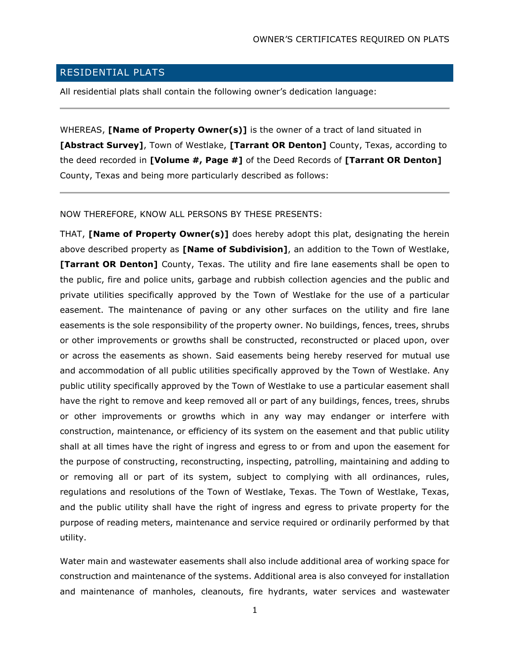## RESIDENTIAL PLATS

All residential plats shall contain the following owner's dedication language:

WHEREAS, **[Name of Property Owner(s)]** is the owner of a tract of land situated in **[Abstract Survey]**, Town of Westlake, **[Tarrant OR Denton]** County, Texas, according to the deed recorded in **[Volume #, Page #]** of the Deed Records of **[Tarrant OR Denton]**  County, Texas and being more particularly described as follows:

## NOW THEREFORE, KNOW ALL PERSONS BY THESE PRESENTS:

THAT, **[Name of Property Owner(s)]** does hereby adopt this plat, designating the herein above described property as **[Name of Subdivision]**, an addition to the Town of Westlake, **[Tarrant OR Denton]** County, Texas. The utility and fire lane easements shall be open to the public, fire and police units, garbage and rubbish collection agencies and the public and private utilities specifically approved by the Town of Westlake for the use of a particular easement. The maintenance of paving or any other surfaces on the utility and fire lane easements is the sole responsibility of the property owner. No buildings, fences, trees, shrubs or other improvements or growths shall be constructed, reconstructed or placed upon, over or across the easements as shown. Said easements being hereby reserved for mutual use and accommodation of all public utilities specifically approved by the Town of Westlake. Any public utility specifically approved by the Town of Westlake to use a particular easement shall have the right to remove and keep removed all or part of any buildings, fences, trees, shrubs or other improvements or growths which in any way may endanger or interfere with construction, maintenance, or efficiency of its system on the easement and that public utility shall at all times have the right of ingress and egress to or from and upon the easement for the purpose of constructing, reconstructing, inspecting, patrolling, maintaining and adding to or removing all or part of its system, subject to complying with all ordinances, rules, regulations and resolutions of the Town of Westlake, Texas. The Town of Westlake, Texas, and the public utility shall have the right of ingress and egress to private property for the purpose of reading meters, maintenance and service required or ordinarily performed by that utility.

Water main and wastewater easements shall also include additional area of working space for construction and maintenance of the systems. Additional area is also conveyed for installation and maintenance of manholes, cleanouts, fire hydrants, water services and wastewater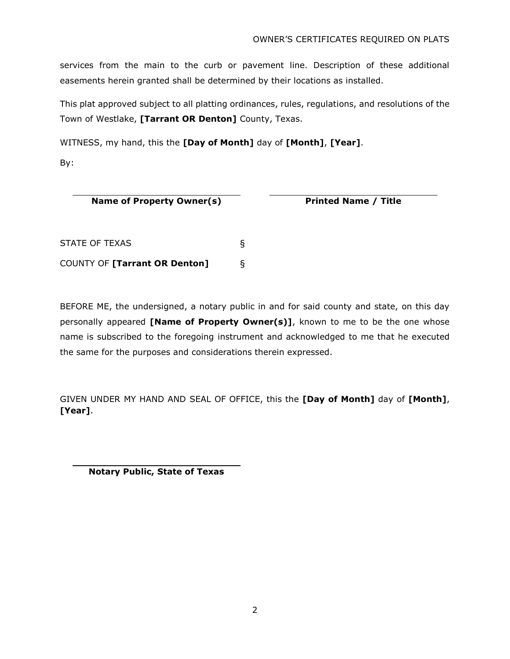services from the main to the curb or pavement line. Description of these additional easements herein granted shall be determined by their locations as installed.

This plat approved subject to all platting ordinances, rules, regulations, and resolutions of the Town of Westlake, **[Tarrant OR Denton]** County, Texas.

WITNESS, my hand, this the **[Day of Month]** day of **[Month]**, **[Year]**.

By:

| Name of Property Owner(s) |  |  |  |  |
|---------------------------|--|--|--|--|
|---------------------------|--|--|--|--|

**Printed Name / Title** 

| <b>STATE OF TEXAS</b>         |  |
|-------------------------------|--|
| COUNTY OF [Tarrant OR Denton] |  |

BEFORE ME, the undersigned, a notary public in and for said county and state, on this day personally appeared **[Name of Property Owner(s)]**, known to me to be the one whose name is subscribed to the foregoing instrument and acknowledged to me that he executed the same for the purposes and considerations therein expressed.

GIVEN UNDER MY HAND AND SEAL OF OFFICE, this the **[Day of Month]** day of **[Month]**, **[Year]**.

**Notary Public, State of Texas**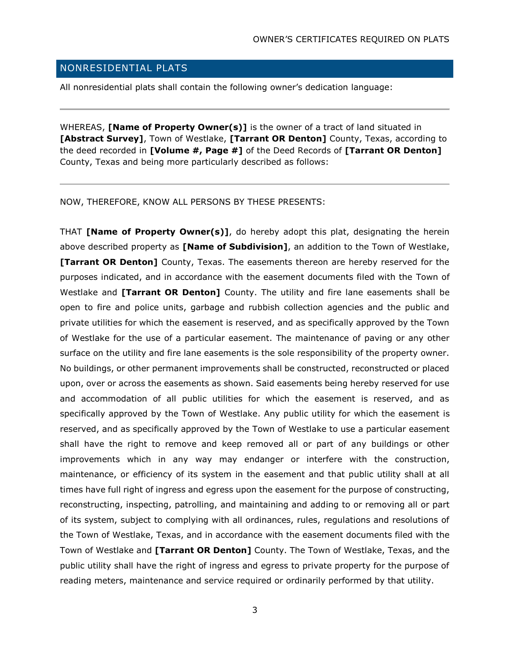## NONRESIDENTIAL PLATS

All nonresidential plats shall contain the following owner's dedication language:

WHEREAS, **[Name of Property Owner(s)]** is the owner of a tract of land situated in **[Abstract Survey]**, Town of Westlake, **[Tarrant OR Denton]** County, Texas, according to the deed recorded in **[Volume #, Page #]** of the Deed Records of **[Tarrant OR Denton]**  County, Texas and being more particularly described as follows:

NOW, THEREFORE, KNOW ALL PERSONS BY THESE PRESENTS:

THAT **[Name of Property Owner(s)]**, do hereby adopt this plat, designating the herein above described property as **[Name of Subdivision]**, an addition to the Town of Westlake, **[Tarrant OR Denton]** County, Texas. The easements thereon are hereby reserved for the purposes indicated, and in accordance with the easement documents filed with the Town of Westlake and **[Tarrant OR Denton]** County. The utility and fire lane easements shall be open to fire and police units, garbage and rubbish collection agencies and the public and private utilities for which the easement is reserved, and as specifically approved by the Town of Westlake for the use of a particular easement. The maintenance of paving or any other surface on the utility and fire lane easements is the sole responsibility of the property owner. No buildings, or other permanent improvements shall be constructed, reconstructed or placed upon, over or across the easements as shown. Said easements being hereby reserved for use and accommodation of all public utilities for which the easement is reserved, and as specifically approved by the Town of Westlake. Any public utility for which the easement is reserved, and as specifically approved by the Town of Westlake to use a particular easement shall have the right to remove and keep removed all or part of any buildings or other improvements which in any way may endanger or interfere with the construction, maintenance, or efficiency of its system in the easement and that public utility shall at all times have full right of ingress and egress upon the easement for the purpose of constructing, reconstructing, inspecting, patrolling, and maintaining and adding to or removing all or part of its system, subject to complying with all ordinances, rules, regulations and resolutions of the Town of Westlake, Texas, and in accordance with the easement documents filed with the Town of Westlake and **[Tarrant OR Denton]** County. The Town of Westlake, Texas, and the public utility shall have the right of ingress and egress to private property for the purpose of reading meters, maintenance and service required or ordinarily performed by that utility.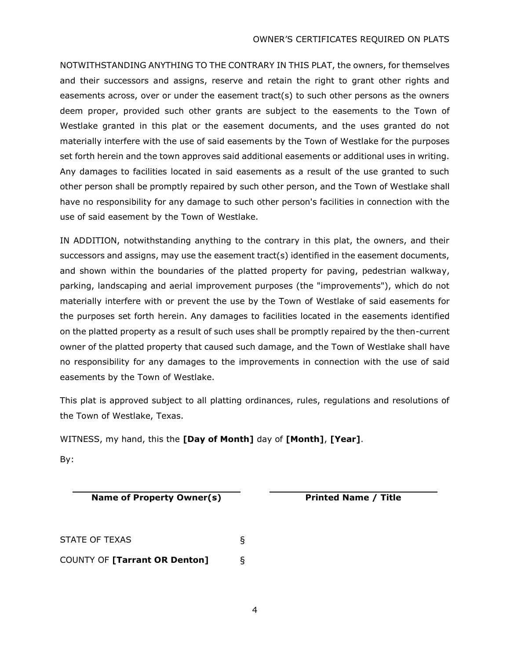NOTWITHSTANDING ANYTHING TO THE CONTRARY IN THIS PLAT, the owners, for themselves and their successors and assigns, reserve and retain the right to grant other rights and easements across, over or under the easement tract(s) to such other persons as the owners deem proper, provided such other grants are subject to the easements to the Town of Westlake granted in this plat or the easement documents, and the uses granted do not materially interfere with the use of said easements by the Town of Westlake for the purposes set forth herein and the town approves said additional easements or additional uses in writing. Any damages to facilities located in said easements as a result of the use granted to such other person shall be promptly repaired by such other person, and the Town of Westlake shall have no responsibility for any damage to such other person's facilities in connection with the use of said easement by the Town of Westlake.

IN ADDITION, notwithstanding anything to the contrary in this plat, the owners, and their successors and assigns, may use the easement tract(s) identified in the easement documents, and shown within the boundaries of the platted property for paving, pedestrian walkway, parking, landscaping and aerial improvement purposes (the "improvements"), which do not materially interfere with or prevent the use by the Town of Westlake of said easements for the purposes set forth herein. Any damages to facilities located in the easements identified on the platted property as a result of such uses shall be promptly repaired by the then-current owner of the platted property that caused such damage, and the Town of Westlake shall have no responsibility for any damages to the improvements in connection with the use of said easements by the Town of Westlake.

This plat is approved subject to all platting ordinances, rules, regulations and resolutions of the Town of Westlake, Texas.

WITNESS, my hand, this the **[Day of Month]** day of **[Month]**, **[Year]**.

By:

**Name of Property Owner(s) Printed Name / Title**

STATE OF TEXAS § COUNTY OF **[Tarrant OR Denton]** §